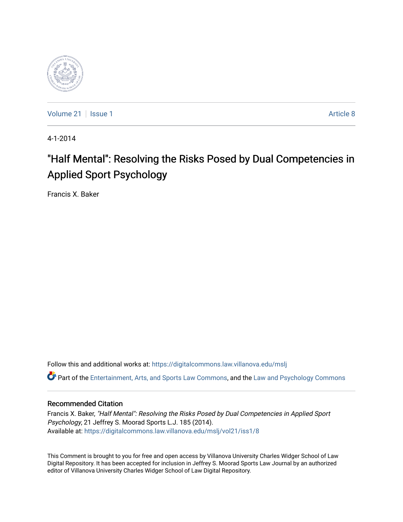

[Volume 21](https://digitalcommons.law.villanova.edu/mslj/vol21) | [Issue 1](https://digitalcommons.law.villanova.edu/mslj/vol21/iss1) Article 8

4-1-2014

# "Half Mental": Resolving the Risks Posed by Dual Competencies in Applied Sport Psychology

Francis X. Baker

Follow this and additional works at: [https://digitalcommons.law.villanova.edu/mslj](https://digitalcommons.law.villanova.edu/mslj?utm_source=digitalcommons.law.villanova.edu%2Fmslj%2Fvol21%2Fiss1%2F8&utm_medium=PDF&utm_campaign=PDFCoverPages)

Part of the [Entertainment, Arts, and Sports Law Commons](http://network.bepress.com/hgg/discipline/893?utm_source=digitalcommons.law.villanova.edu%2Fmslj%2Fvol21%2Fiss1%2F8&utm_medium=PDF&utm_campaign=PDFCoverPages), and the [Law and Psychology Commons](http://network.bepress.com/hgg/discipline/870?utm_source=digitalcommons.law.villanova.edu%2Fmslj%2Fvol21%2Fiss1%2F8&utm_medium=PDF&utm_campaign=PDFCoverPages) 

# Recommended Citation

Francis X. Baker, "Half Mental": Resolving the Risks Posed by Dual Competencies in Applied Sport Psychology, 21 Jeffrey S. Moorad Sports L.J. 185 (2014). Available at: [https://digitalcommons.law.villanova.edu/mslj/vol21/iss1/8](https://digitalcommons.law.villanova.edu/mslj/vol21/iss1/8?utm_source=digitalcommons.law.villanova.edu%2Fmslj%2Fvol21%2Fiss1%2F8&utm_medium=PDF&utm_campaign=PDFCoverPages) 

This Comment is brought to you for free and open access by Villanova University Charles Widger School of Law Digital Repository. It has been accepted for inclusion in Jeffrey S. Moorad Sports Law Journal by an authorized editor of Villanova University Charles Widger School of Law Digital Repository.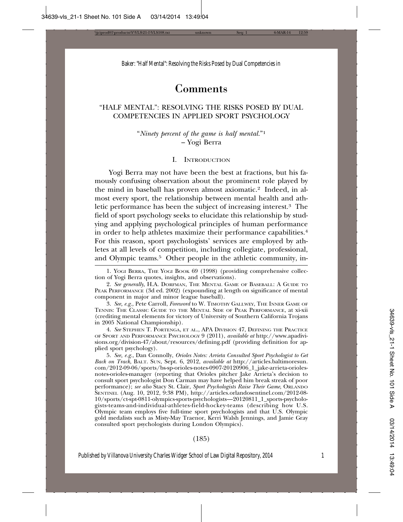# Comments

# "HALF MENTAL": RESOLVING THE RISKS POSED BY DUAL COMPETENCIES IN APPLIED SPORT PSYCHOLOGY

"*Ninety percent of the game is half mental.*"1 – Yogi Berra

#### I. INTRODUCTION

Yogi Berra may not have been the best at fractions, but his famously confusing observation about the prominent role played by the mind in baseball has proven almost axiomatic.2 Indeed, in almost every sport, the relationship between mental health and athletic performance has been the subject of increasing interest.3 The field of sport psychology seeks to elucidate this relationship by studying and applying psychological principles of human performance in order to help athletes maximize their performance capabilities.4 For this reason, sport psychologists' services are employed by athletes at all levels of competition, including collegiate, professional, and Olympic teams.<sup>5</sup> Other people in the athletic community, in-

4. *See* STEPHEN T. PORTENGA, ET AL., APA DIVISION 47, DEFINING THE PRACTICE OF SPORT AND PERFORMANCE PSYCHOLOGY 9 (2011), *available at* http://www.apadivisions.org/division-47/about/resources/defining.pdf (providing definition for applied sport psychology).

5. *See, e.g.*, Dan Connolly, *Orioles Notes: Arrieta Consulted Sport Psychologist to Get Back on Track*, BALT. SUN, Sept. 6, 2012, *available at* http://articles.baltimoresun. com/2012-09-06/sports/bs-sp-orioles-notes-0907-20120906\_1\_jake-arrieta-oriolesnotes-orioles-manager (reporting that Orioles pitcher Jake Arrieta's decision to consult sport psychologist Don Carman may have helped him break streak of poor performance); *see also* Stacy St. Clair, *Sport Psychologists Raise Their Game*, ORLANDO SENTINEL (Aug. 10, 2012, 9:38 PM), http://articles.orlandosentinel.com/2012-08- 10/sports/ct-spt-0811-olympics-sports-psychologists—20120811\_1\_sports-psychologists-teams-and-individual-athletes-field-hockey-teams (describing how U.S. Olympic team employs five full-time sport psychologists and that U.S. Olympic gold medalists such as Misty-May Traenor, Kerri Walsh Jennings, and Jamie Gray consulted sport psychologists during London Olympics).

#### (185)

<sup>1.</sup> YOGI BERRA, THE YOGI BOOK 69 (1998) (providing comprehensive collection of Yogi Berra quotes, insights, and observations).

<sup>2.</sup> *See generally*, H.A. DORFMAN, THE MENTAL GAME OF BASEBALL: A GUIDE TO PEAK PERFORMANCE (3d ed. 2002) (expounding at length on significance of mental component in major and minor league baseball).

<sup>3.</sup> *See, e.g.*, Pete Carroll, *Foreword* to W. TIMOTHY GALLWEY, THE INNER GAME OF TENNIS: THE CLASSIC GUIDE TO THE MENTAL SIDE OF PEAK PERFORMANCE, at xi-xii (crediting mental elements for victory of University of Southern California Trojans in 2005 National Championship).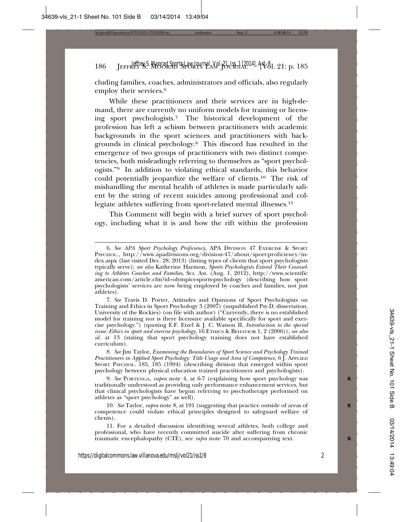cluding families, coaches, administrators and officials, also regularly employ their services.<sup>6</sup>

While these practitioners and their services are in high-demand, there are currently no uniform models for training or licensing sport psychologists.7 The historical development of the profession has left a schism between practitioners with academic backgrounds in the sport sciences and practitioners with backgrounds in clinical psychology.8 This discord has resulted in the emergence of two groups of practitioners with two distinct competencies, both misleadingly referring to themselves as "sport psychologists."9 In addition to violating ethical standards, this behavior could potentially jeopardize the welfare of clients.10 The risk of mishandling the mental health of athletes is made particularly salient by the string of recent suicides among professional and collegiate athletes suffering from sport-related mental illnesses.<sup>11</sup>

This Comment will begin with a brief survey of sport psychology, including what it is and how the rift within the profession

9. *See* PORTENGA, *supra* note 4, at 6-7 (explaining how sport psychology was **R** traditionally understood as providing only performance enhancement services, but that clinical psychologists have begun referring to psychotherapy performed on athletes as "sport psychology" as well).

10. *See* Taylor, *supra* note 8, at 191 (suggesting that practice outside of areas of **R** competence could violate ethical principles designed to safeguard welfare of clients).

11. For a detailed discussion identifying several athletes, both college and professional, who have recently committed suicide after suffering from chronic traumatic encephalopathy (CTE), see *infra* note 70 and accompanying text. **R**

<sup>6.</sup> *See APA Sport Psychology Proficiency*, APA DIVISION 47 EXERCISE & SPORT PSYCHOL., http://www.apadivisions.org/division-47/about/sport-proficiency/index.aspx (last visited Dec. 28, 2013) (listing types of clients that sport psychologists typically serve); *see also* Katherine Harmon, *Sports Psychologists Extend Their Counseling to Athletes Coaches and Families*, SCI. AM. (Aug. 1, 2012), http://www.scientific american.com/article.cfm?id=olympics-sports-psychology (describing how sport psychologists' services are now being employed by coaches and families, not just athletes).

<sup>7.</sup> *See* Travis D. Porter, Attitudes and Opinions of Sport Psychologists on Training and Ethics in Sport Psychology 3 (2007) (unpublished Psy.D. dissertation, University of the Rockies) (on file with author) ("Currently, there is no established model for training nor is there licensure available specifically for sport and exercise psychology.") (quoting E.F. Etzel & J. C. Watson II, *Introduction to the special issue: Ethics in sport and exercise psychology*, 16 ETHICS & BEHAVIOR 1, 2 (2006)); *see also id.* at 13 (stating that sport psychology training does not have established curriculum).

<sup>8.</sup> *See* Jim Taylor, *Examining the Boundaries of Sport Science and Psychology Trained Practitioners in Applied Sport Psychology: Title Usage and Area of Competence*, 6 J. APPLIED SPORT PSYCHOL. 185, 185 (1994) (describing division that emerged within sport psychology between physical education trained practitioners and psychologists).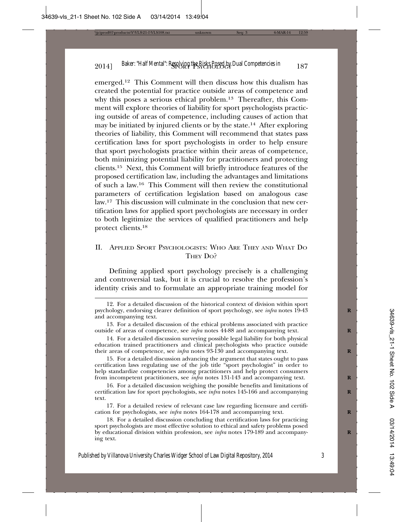emerged.12 This Comment will then discuss how this dualism has created the potential for practice outside areas of competence and why this poses a serious ethical problem.13 Thereafter, this Comment will explore theories of liability for sport psychologists practicing outside of areas of competence, including causes of action that may be initiated by injured clients or by the state.14 After exploring theories of liability, this Comment will recommend that states pass certification laws for sport psychologists in order to help ensure that sport psychologists practice within their areas of competence, both minimizing potential liability for practitioners and protecting clients.15 Next, this Comment will briefly introduce features of the proposed certification law, including the advantages and limitations of such a law.16 This Comment will then review the constitutional parameters of certification legislation based on analogous case law.17 This discussion will culminate in the conclusion that new certification laws for applied sport psychologists are necessary in order to both legitimize the services of qualified practitioners and help protect clients.18

## II. APPLIED SPORT PSYCHOLOGISTS: WHO ARE THEY AND WHAT DO THEY DO?

Defining applied sport psychology precisely is a challenging and controversial task, but it is crucial to resolve the profession's identity crisis and to formulate an appropriate training model for

<sup>12.</sup> For a detailed discussion of the historical context of division within sport psychology, endorsing clearer definition of sport psychology, see *infra* notes 19-43 **R** and accompanying text.

<sup>13.</sup> For a detailed discussion of the ethical problems associated with practice outside of areas of competence, see *infra* notes 44-88 and accompanying text. **R**

<sup>14.</sup> For a detailed discussion surveying possible legal liability for both physical education trained practitioners and clinical psychologists who practice outside their areas of competence, see *infra* notes 93-130 and accompanying text. **R**

<sup>15.</sup> For a detailed discussion advancing the argument that states ought to pass certification laws regulating use of the job title "sport psychologist" in order to help standardize competencies among practitioners and help protect consumers from incompetent practitioners, see *infra* notes 131-143 and accompanying text. **R**

<sup>16.</sup> For a detailed discussion weighing the possible benefits and limitations of certification law for sport psychologists, see *infra* notes 145-166 and accompanying **R** text.

<sup>17.</sup> For a detailed review of relevant case law regarding licensure and certification for psychologists, see *infra* notes 164-178 and accompanying text. **R**

<sup>18.</sup> For a detailed discussion concluding that certification laws for practicing sport psychologists are most effective solution to ethical and safety problems posed by educational division within profession, see *infra* notes 179-189 and accompany- **R** ing text.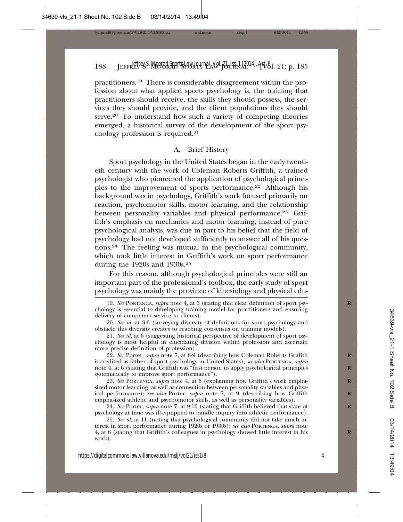practitioners.19 There is considerable disagreement within the profession about what applied sports psychology is, the training that practitioners should receive, the skills they should possess, the services they should provide, and the client populations they should serve.<sup>20</sup> To understand how such a variety of competing theories emerged, a historical survey of the development of the sport psychology profession is required.21

#### A. Brief History

Sport psychology in the United States began in the early twentieth century with the work of Coleman Roberts Griffith, a trained psychologist who pioneered the application of psychological principles to the improvement of sports performance.<sup>22</sup> Although his background was in psychology, Griffith's work focused primarily on reaction, psychomotor skills, motor learning, and the relationship between personality variables and physical performance.<sup>23</sup> Griffith's emphasis on mechanics and motor learning, instead of pure psychological analysis, was due in part to his belief that the field of psychology had not developed sufficiently to answer all of his questions.24 The feeling was mutual in the psychological community, which took little interest in Griffith's work on sport performance during the 1920s and 1930s.25

For this reason, although psychological principles were still an important part of the professional's toolbox, the early study of sport psychology was mainly the province of kinesiology and physical edu-

22. See Porter, *supra* note 7, at 8-9 (describing how Coleman Roberts Griffith is credited as father of sport psychology in United States); *see also* PORTENGA, *supra* note 4, at 6 (stating that Griffith was "first person to apply psychological principles **R** systematically to improve sport performance").

23. *See* PORTENGA, *supra* note 4, at 6 (explaining how Griffith's work empha- **R** sized motor learning, as well as connection between personality variables and physical performance); *see also* Porter, *supra* note 7, at 9 (describing how Griffith emphasized athletic and psychomotor skills, as well as personality variables).

24. *See* Porter, *supra* note 7, at 9-10 (stating that Griffith believed that state of **R** psychology at time was ill-equipped to handle inquiry into athletic performance).

25. *See id.* at 11 (noting that psychological community did not take much interest in sport performance during 1920s or 1930s); *see also* PORTENGA, *supra* note 4, at 6 (stating that Griffith's colleagues in psychology showed little interest in his **R** work).

<sup>19.</sup> *See* PORTENGA, *supra* note 4, at 5 (stating that clear definition of sport psy- **R** chology is essential to developing training model for practitioners and ensuring delivery of competent service to clients).

<sup>20.</sup> *See id.* at 3-6 (surveying diversity of definitions for sport psychology and obstacle this diversity creates to reaching consensus on training models).

<sup>21.</sup> *See id.* at 6 (suggesting historical perspective of development of sport psychology is most helpful in elucidating division within profession and ascertain more precise definition of profession).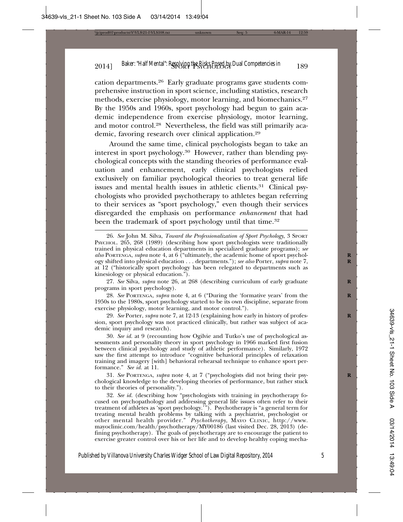cation departments.26 Early graduate programs gave students comprehensive instruction in sport science, including statistics, research methods, exercise physiology, motor learning, and biomechanics.27 By the 1950s and 1960s, sport psychology had begun to gain academic independence from exercise physiology, motor learning, and motor control.28 Nevertheless, the field was still primarily academic, favoring research over clinical application.29

Around the same time, clinical psychologists began to take an interest in sport psychology.30 However, rather than blending psychological concepts with the standing theories of performance evaluation and enhancement, early clinical psychologists relied exclusively on familiar psychological theories to treat general life issues and mental health issues in athletic clients.<sup>31</sup> Clinical psychologists who provided psychotherapy to athletes began referring to their services as "sport psychology," even though their services disregarded the emphasis on performance *enhancement* that had been the trademark of sport psychology until that time.<sup>32</sup>

27. *See* Silva, *supra* note 26, at 268 (describing curriculum of early graduate **R** programs in sport psychology).

28. *See* PORTENGA, *supra* note 4, at 6 ("During the 'formative years' from the **R** 1950s to the 1980s, sport psychology started to be its own discipline, separate from exercise physiology, motor learning, and motor control.").

29. *See* Porter, *supra* note 7, at 12-13 (explaining how early in history of profession, sport psychology was not practiced clinically, but rather was subject of academic inquiry and research).

30. *See id.* at 9 (recounting how Ogilvie and Tutko's use of psychological assessments and personality theory in sport psychology in 1966 marked first fusion between clinical psychology and study of athletic performance). Similarly, 1972 saw the first attempt to introduce "cognitive behavioral principles of relaxation training and imagery [with] behavioral rehearsal technique to enhance sport performance." *See id.* at 11.

31. *See* PORTENGA, *supra* note 4, at 7 ("psychologists did not bring their psy- **R** chological knowledge to the developing theories of performance, but rather stuck to their theories of personality.").

32. *See id.* (describing how "psychologists with training in psychotherapy focused on psychopathology and addressing general life issues often refer to their treatment of athletes as 'sport psychology.'"). Psychotherapy is "a general term for treating mental health problems by talking with a psychiatrist, psychologist or other mental health provider." *Psychotherapy*, MAYO CLINIC, http://www. mayoclinic.com/health/psychotherapy/MY00186 (last visited Dec. 28, 2013) (defining psychotherapy). The goals of psychotherapy are to encourage the patient to exercise greater control over his or her life and to develop healthy coping mecha-

<sup>26.</sup> *See* John M. Silva, *Toward the Professionalization of Sport Psychology*, 3 SPORT PSYCHOL. 265, 268 (1989) (describing how sport psychologists were traditionally trained in physical education departments in specialized graduate programs); *see also* PORTENGA, *supra* note 4, at 6 ("ultimately, the academic home of sport psychol- **R** ogy shifted into physical education . . . departments."); *see also* Porter, *supra* note 7, **R** at 12 ("historically sport psychology has been relegated to departments such as kinesiology or physical education.").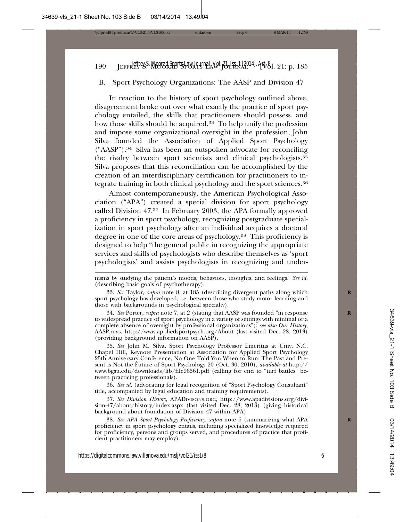# B. Sport Psychology Organizations: The AASP and Division 47

In reaction to the history of sport psychology outlined above, disagreement broke out over what exactly the practice of sport psychology entailed, the skills that practitioners should possess, and how those skills should be acquired.<sup>33</sup> To help unify the profession and impose some organizational oversight in the profession, John Silva founded the Association of Applied Sport Psychology ("AASP").34 Silva has been an outspoken advocate for reconciling the rivalry between sport scientists and clinical psychologists.35 Silva proposes that this reconciliation can be accomplished by the creation of an interdisciplinary certification for practitioners to integrate training in both clinical psychology and the sport sciences.36

Almost contemporaneously, the American Psychological Association ("APA") created a special division for sport psychology called Division 47.37 In February 2003, the APA formally approved a proficiency in sport psychology, recognizing postgraduate specialization in sport psychology after an individual acquires a doctoral degree in one of the core areas of psychology.<sup>38</sup> This proficiency is designed to help "the general public in recognizing the appropriate services and skills of psychologists who describe themselves as 'sport psychologists' and assists psychologists in recognizing and under-

34. *See* Porter, *supra* note 7, at 2 (stating that AASP was founded "in response **R** to widespread practice of sport psychology in a variety of settings with minimal or a complete absence of oversight by professional organizations"); *see also Our History*, AASP.ORG, http://www.appliedsportpsych.org/About (last visited Dec. 28, 2013) (providing background information on AASP).

35. *See* John M. Silva, Sport Psychology Professor Emeritus at Univ. N.C. Chapel Hill, Keynote Presentation at Association for Applied Sport Psychology 25th Anniversary Conference, No One Told You When to Run: The Past and Present is Not the Future of Sport Psychology 20 (Oct. 30, 2010), *available at* http:// www.bgsu.edu/downloads/lib/file96561.pdf (calling for end to "turf battles" between practicing professionals).

36. *See id.* (advocating for legal recognition of "Sport Psychology Consultant" title, accompanied by legal education and training requirements).

37. *See Division History*, APADIVISONS.ORG, http://www.apadivisions.org/division-47/about/history/index.aspx (last visited Dec. 28, 2013) (giving historical background about foundation of Division 47 within APA).

38. See APA Sport Psychology Proficiency, supra note 6 (summarizing what APA proficiency in sport psychology entails, including specialized knowledge required for proficiency, persons and groups served, and procedures of practice that proficient practitioners may employ).

nisms by studying the patient's moods, behaviors, thoughts, and feelings. *See id.* (describing basic goals of psychotherapy).

<sup>33.</sup> *See* Taylor, *supra* note 8, at 185 (describing divergent paths along which **R** sport psychology has developed, i.e. between those who study motor learning and those with backgrounds in psychological specialty).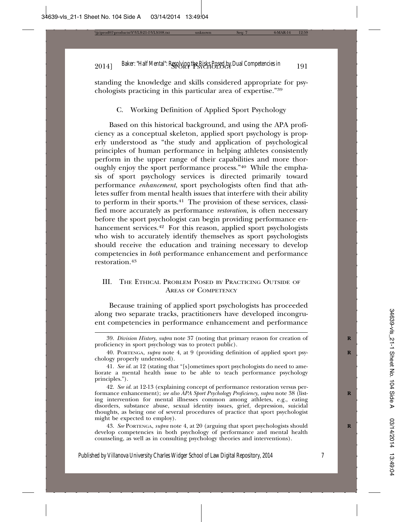standing the knowledge and skills considered appropriate for psychologists practicing in this particular area of expertise."39

C. Working Definition of Applied Sport Psychology

Based on this historical background, and using the APA proficiency as a conceptual skeleton, applied sport psychology is properly understood as "the study and application of psychological principles of human performance in helping athletes consistently perform in the upper range of their capabilities and more thoroughly enjoy the sport performance process."40 While the emphasis of sport psychology services is directed primarily toward performance *enhancement*, sport psychologists often find that athletes suffer from mental health issues that interfere with their ability to perform in their sports.41 The provision of these services, classified more accurately as performance *restoration*, is often necessary before the sport psychologist can begin providing performance enhancement services.<sup>42</sup> For this reason, applied sport psychologists who wish to accurately identify themselves as sport psychologists should receive the education and training necessary to develop competencies in *both* performance enhancement and performance restoration.43

## III. THE ETHICAL PROBLEM POSED BY PRACTICING OUTSIDE OF AREAS OF COMPETENCY

Because training of applied sport psychologists has proceeded along two separate tracks, practitioners have developed incongruent competencies in performance enhancement and performance

43. *See* PORTENGA, *supra* note 4, at 20 (arguing that sport psychologists should **R** develop competencies in both psychology of performance and mental health counseling, as well as in consulting psychology theories and interventions).

<sup>39.</sup> *Division History*, *supra* note 37 (noting that primary reason for creation of **R** proficiency in sport psychology was to protect public).

<sup>40.</sup> PORTENGA, *supra* note 4, at 9 (providing definition of applied sport psy- **R** chology properly understood).

<sup>41.</sup> *See id.* at 12 (stating that "[s]ometimes sport psychologists do need to ameliorate a mental health issue to be able to teach performance psychology principles.").

<sup>42.</sup> *See id.* at 12-13 (explaining concept of performance restoration versus performance enhancement); *see also APA Sport Psychology Proficiency*, *supra* note 38 (listing intervention for mental illnesses common among athletes, e.g., eating disorders, substance abuse, sexual identity issues, grief, depression, suicidal thoughts, as being one of several procedures of practice that sport psychologist might be expected to employ).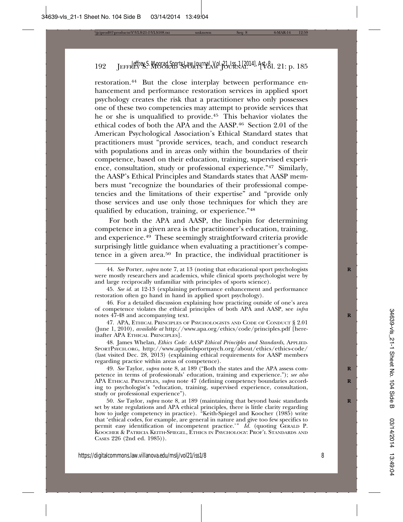restoration.44 But the close interplay between performance enhancement and performance restoration services in applied sport psychology creates the risk that a practitioner who only possesses one of these two competencies may attempt to provide services that he or she is unqualified to provide.45 This behavior violates the ethical codes of both the APA and the AASP.46 Section 2.01 of the American Psychological Association's Ethical Standard states that practitioners must "provide services, teach, and conduct research with populations and in areas only within the boundaries of their competence, based on their education, training, supervised experience, consultation, study or professional experience."47 Similarly, the AASP's Ethical Principles and Standards states that AASP members must "recognize the boundaries of their professional competencies and the limitations of their expertise" and "provide only those services and use only those techniques for which they are qualified by education, training, or experience."48

For both the APA and AASP, the linchpin for determining competence in a given area is the practitioner's education, training, and experience.49 These seemingly straightforward criteria provide surprisingly little guidance when evaluating a practitioner's competence in a given area.50 In practice, the individual practitioner is

47. APA, ETHICAL PRINCIPLES OF PSYCHOLOGISTS AND CODE OF CONDUCT § 2.01 (June 1, 2010), *available at* http://www.apa.org/ethics/code/principles.pdf [hereinafter APA ETHICAL PRINCIPLES].

48. James Whelan, *Ethics Code: AASP Ethical Principles and Standards*, APPLIED-SPORTPSYCH.ORG, http://www.appliedsportpsych.org/about/ethics/ethics-code/ (last visited Dec. 28, 2013) (explaining ethical requirements for AASP members regarding practice within areas of competence).

49. *See* Taylor, *supra* note 8, at 189 ("Both the states and the APA assess com- **R** petence in terms of professionals' education, training and experience."); *see also* APA ETHICAL PRINCIPLES, *supra* note 47 (defining competency boundaries accord- **R** ing to psychologist's "education, training, supervised experience, consultation, study or professional experience").

50. *See* Taylor, *supra* note 8, at 189 (maintaining that beyond basic standards **R** set by state regulations and APA ethical principles, there is little clarity regarding how to judge competency in practice). "Keith-Spiegel and Koocher (1985) write that 'ethical codes, for example, are general in nature and give too few specifics to permit easy identification of incompetent practice.'" *Id.* (quoting GERALD P. KOOCHER & PATRICIA KEITH-SPIEGEL, ETHICS IN PSYCHOLOGY: PROF'L STANDARDS AND CASES 226 (2nd ed. 1985)).

<sup>44.</sup> *See* Porter, *supra* note 7, at 13 (noting that educational sport psychologists **R** were mostly researchers and academics, while clinical sports psychologist were by and large reciprocally unfamiliar with principles of sports science).

<sup>45.</sup> *See id.* at 12-13 (explaining performance enhancement and performance restoration often go hand in hand in applied sport psychology).

<sup>46.</sup> For a detailed discussion explaining how practicing outside of one's area of competence violates the ethical principles of both APA and AASP, see *infra* notes  $47-48$  and accompanying text.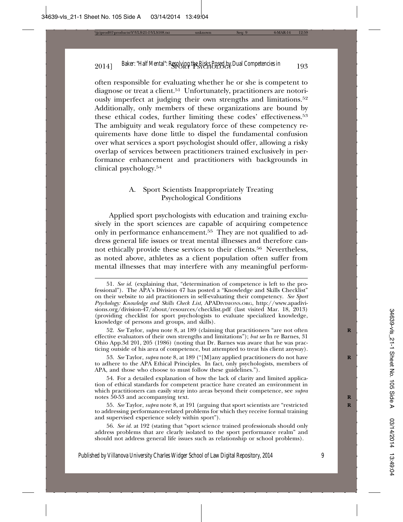often responsible for evaluating whether he or she is competent to diagnose or treat a client.<sup>51</sup> Unfortunately, practitioners are notoriously imperfect at judging their own strengths and limitations.52 Additionally, only members of these organizations are bound by these ethical codes, further limiting these codes' effectiveness.53 The ambiguity and weak regulatory force of these competency requirements have done little to dispel the fundamental confusion over what services a sport psychologist should offer, allowing a risky overlap of services between practitioners trained exclusively in performance enhancement and practitioners with backgrounds in clinical psychology.54

# A. Sport Scientists Inappropriately Treating Psychological Conditions

Applied sport psychologists with education and training exclusively in the sport sciences are capable of acquiring competence only in performance enhancement.<sup>55</sup> They are not qualified to address general life issues or treat mental illnesses and therefore cannot ethically provide these services to their clients.56 Nevertheless, as noted above, athletes as a client population often suffer from mental illnesses that may interfere with any meaningful perform-

53. *See* Taylor, *supra* note 8, at 189 ("[M]any applied practitioners do not have **R** to adhere to the APA Ethical Principles. In fact, only psychologists, members of APA, and those who choose to must follow these guidelines.").

54. For a detailed explanation of how the lack of clarity and limited application of ethical standards for competent practice have created an environment in which practitioners can easily stray into areas beyond their competence, see *supra* notes 50-53 and accompanying text. **R**

55. *See* Taylor, *supra* note 8, at 191 (arguing that sport scientists are "restricted **R** to addressing performance-related problems for which they receive formal training and supervised experience solely within sport").

56. *See id.* at 192 (stating that "sport science trained professionals should only address problems that are clearly isolated to the sport performance realm" and should not address general life issues such as relationship or school problems).

<sup>51.</sup> *See id.* (explaining that, "determination of competence is left to the professional"). The APA's Division 47 has posted a "Knowledge and Skills Checklist" on their website to aid practitioners in self-evaluating their competency. *See Sport Psychology: Knowledge and Skills Check List*, APADIVISIONS.ORG, http://www.apadivisions.org/division-47/about/resources/checklist.pdf (last visited Mar. 18, 2013) (providing checklist for sport psychologists to evaluate specialized knowledge, knowledge of persons and groups, and skills).

<sup>52.</sup> *See* Taylor, *supra* note 8, at 189 (claiming that practitioners "are not often **R** effective evaluators of their own strengths and limitations"); *but see* In re Barnes, 31 Ohio App.3d 201, 205 (1986) (noting that Dr. Barnes was aware that he was practicing outside of his area of competence, but attempted to treat his client anyway).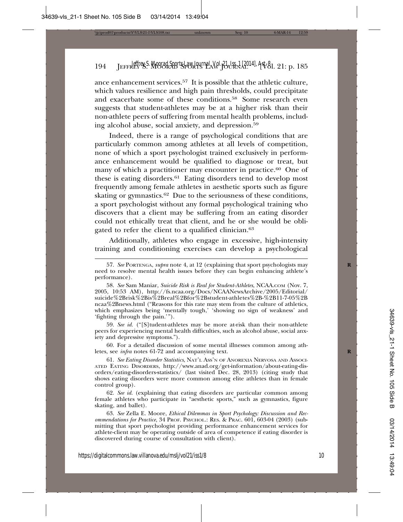ance enhancement services.57 It is possible that the athletic culture, which values resilience and high pain thresholds, could precipitate and exacerbate some of these conditions.58 Some research even suggests that student-athletes may be at a higher risk than their non-athlete peers of suffering from mental health problems, including alcohol abuse, social anxiety, and depression.59

Indeed, there is a range of psychological conditions that are particularly common among athletes at all levels of competition, none of which a sport psychologist trained exclusively in performance enhancement would be qualified to diagnose or treat, but many of which a practitioner may encounter in practice.<sup>60</sup> One of these is eating disorders.<sup>61</sup> Eating disorders tend to develop most frequently among female athletes in aesthetic sports such as figure skating or gymnastics.<sup>62</sup> Due to the seriousness of these conditions, a sport psychologist without any formal psychological training who discovers that a client may be suffering from an eating disorder could not ethically treat that client, and he or she would be obligated to refer the client to a qualified clinician.<sup>63</sup>

Additionally, athletes who engage in excessive, high-intensity training and conditioning exercises can develop a psychological

59. *See id.* ("[S]tudent-athletes may be more at-risk than their non-athlete peers for experiencing mental health difficulties, such as alcohol abuse, social anxiety and depressive symptoms.").

60. For a detailed discussion of some mental illnesses common among athletes, see *infra* notes 61-72 and accompanying text. **R**

61. *See Eating Disorder Statistics*, NAT'L ASS'N OF ANOREXIA NERVOSA AND ASSOCI-ATED EATING DISORDERS, http://www.anad.org/get-information/about-eating-disorders/eating-disorders-statistics/ (last visited Dec. 28, 2013) (citing study that shows eating disorders were more common among elite athletes than in female control group).

62. *See id.* (explaining that eating disorders are particular common among female athletes who participate in "aesthetic sports," such as gymnastics, figure skating, and ballet).

63. *See* Zella E. Moore, *Ethical Dilemmas in Sport Psychology: Discussion and Recommendations for Practice*, 34 PROF. PSYCHOL.: RES. & PRAC. 601, 603-04 (2003) (submitting that sport psychologist providing performance enhancement services for athlete-client may be operating outside of area of competence if eating disorder is discovered during course of consultation with client).

<sup>57.</sup> *See* PORTENGA, *supra* note 4, at 12 (explaining that sport psychologists may **R** need to resolve mental health issues before they can begin enhancing athlete's performance).

<sup>58.</sup> *See* Sam Maniar, *Suicide Risk is Real for Student-Athletes*, NCAA.COM (Nov. 7, 2005, 10:53 AM), http://fs.ncaa.org/Docs/NCAANewsArchive/2005/Editorial/ suicide%2Brisk%2Bis%2Breal%2Bfor%2Bstudent-athletes%2B-%2B11-7-05%2B ncaa%2Bnews.html ("Reasons for this rate may stem from the culture of athletics, which emphasizes being 'mentally tough,' 'showing no sign of weakness' and 'fighting through the pain.'").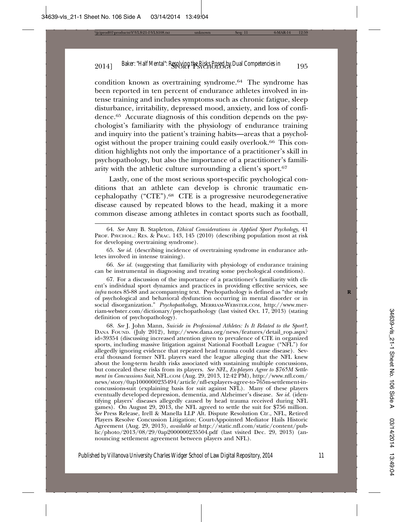condition known as overtraining syndrome.64 The syndrome has been reported in ten percent of endurance athletes involved in intense training and includes symptoms such as chronic fatigue, sleep disturbance, irritability, depressed mood, anxiety, and loss of confidence.65 Accurate diagnosis of this condition depends on the psychologist's familiarity with the physiology of endurance training and inquiry into the patient's training habits—areas that a psychologist without the proper training could easily overlook.66 This condition highlights not only the importance of a practitioner's skill in psychopathology, but also the importance of a practitioner's familiarity with the athletic culture surrounding a client's sport.67

Lastly, one of the most serious sport-specific psychological conditions that an athlete can develop is chronic traumatic encephalopathy ("CTE").68 CTE is a progressive neurodegenerative disease caused by repeated blows to the head, making it a more common disease among athletes in contact sports such as football,

66. *See id.* (suggesting that familiarity with physiology of endurance training can be instrumental in diagnosing and treating some psychological conditions).

67. For a discussion of the importance of a practitioner's familiarity with client's individual sport dynamics and practices in providing effective services, see *infra* notes 85-88 and accompanying text. Psychopathology is defined as "the study of psychological and behavioral dysfunction occurring in mental disorder or in social disorganization." *Psychopathology*, MERRIAM-WEBSTER.COM, http://www.merriam-webster.com/dictionary/psychopathology (last visited Oct. 17, 2013) (stating definition of psychopathology).

68. *See* J. John Mann, *Suicide in Professional Athletes: Is It Related to the Sport?*, DANA FOUND. (July 2012), http://www.dana.org/news/features/detail\_rop.aspx? id=39354 (discussing increased attention given to prevalence of CTE in organized sports, including massive litigation against National Football League ("NFL") for allegedly ignoring evidence that repeated head trauma could cause disease). Several thousand former NFL players sued the league alleging that the NFL knew about the long-term health risks associated with sustaining multiple concussions, but concealed these risks from its players. *See NFL, Ex-players Agree to \$765M Settlement in Concussions Suit*, NFL.COM (Aug. 29, 2013, 12:42 PM), http://www.nfl.com/ news/story/0ap1000000235494/article/nfl-explayers-agree-to-765m-settlement-inconcussions-suit (explaining basis for suit against NFL). Many of these players eventually developed depression, dementia, and Alzheimer's disease. *See id.* (identifying players' diseases allegedly caused by head trauma received during NFL games). On August 29, 2013, the NFL agreed to settle the suit for \$756 million. *See* Press Release, Irell & Manella LLP Alt. Dispute Resolution Ctr., NFL, Retired Players Resolve Concussion Litigation; Court-Appointed Mediator Hails Historic Agreement (Aug. 29, 2013), *available at* http://static.nfl.com/static/content/public/photo/2013/08/29/0ap2000000235504.pdf (last visited Dec. 29, 2013) (announcing settlement agreement between players and NFL).

<sup>64.</sup> *See* Amy B. Stapleton, *Ethical Considerations in Applied Sport Psychology*, 41 PROF. PSYCHOL.: RES. & PRAC. 143, 145 (2010) (describing population most at risk for developing overtraining syndrome).

<sup>65.</sup> *See id.* (describing incidence of overtraining syndrome in endurance athletes involved in intense training).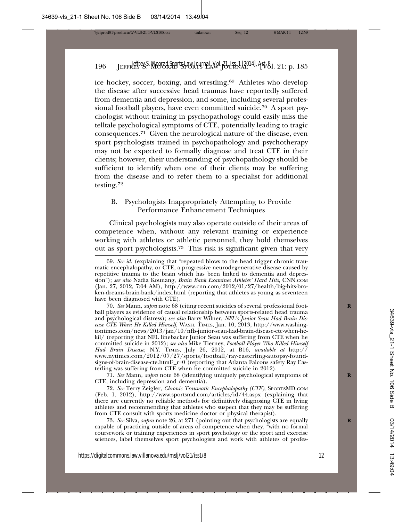ice hockey, soccer, boxing, and wrestling.<sup>69</sup> Athletes who develop the disease after successive head traumas have reportedly suffered from dementia and depression, and some, including several professional football players, have even committed suicide.<sup>70</sup> A sport psychologist without training in psychopathology could easily miss the telltale psychological symptoms of CTE, potentially leading to tragic consequences.71 Given the neurological nature of the disease, even sport psychologists trained in psychopathology and psychotherapy may not be expected to formally diagnose and treat CTE in their clients; however, their understanding of psychopathology should be sufficient to identify when one of their clients may be suffering from the disease and to refer them to a specialist for additional testing.72

# B. Psychologists Inappropriately Attempting to Provide Performance Enhancement Techniques

Clinical psychologists may also operate outside of their areas of competence when, without any relevant training or experience working with athletes or athletic personnel, they hold themselves out as sport psychologists.73 This risk is significant given that very

70. *See* Mann, *supra* note 68 (citing recent suicides of several professional foot- **R** ball players as evidence of causal relationship between sports-related head trauma and psychological distress); *see also* Barry Wilner, *NFL's Junior Seau Had Brain Disease CTE When He Killed Himself*, WASH. TIMES, Jan. 10, 2013, http://www.washingtontimes.com/news/2013/jan/10/nfls-junior-seau-had-brain-disease-cte-when-hekil/ (reporting that NFL linebacker Junior Seau was suffering from CTE when he committed suicide in 2012); *see also* Mike Tierney, *Football Player Who Killed Himself Had Brain Disease*, N.Y. TIMES, July 26, 2012, at B16, *available at* http:// www.nytimes.com/2012/07/27/sports/football/ray-easterling-autopsy-foundsigns-of-brain-disease-cte.html?\_r=0 (reporting that Atlanta Falcons safety Ray Easterling was suffering from CTE when he committed suicide in 2012).

71. *See* Mann, *supra* note 68 (identifying uniquely psychological symptoms of **R** CTE, including depression and dementia).

72. *See* Terry Zeigler, *Chronic Traumatic Encephalopathy (CTE)*, SPORTSMD.COM (Feb. 1, 2012), http://www.sportsmd.com/articles/id/44.aspx (explaining that there are currently no reliable methods for definitively diagnosing CTE in living athletes and recommending that athletes who suspect that they may be suffering from CTE consult with sports medicine doctor or physical therapist).

73. *See* Silva, *supra* note 26, at 271 (pointing out that psychologists are equally **R** capable of practicing outside of areas of competence when they, "with no formal coursework or training experiences in sport psychology or the sport and exercise sciences, label themselves sport psychologists and work with athletes of profes-

<sup>69.</sup> *See id.* (explaining that "repeated blows to the head trigger chronic traumatic encephalopathy, or CTE, a progressive neurodegenerative disease caused by repetitive trauma to the brain which has been linked to dementia and depression"); *see also* Nadia Kounang, *Brain Bank Examines Athletes' Hard Hits*, CNN.COM (Jan. 27, 2012, 7:04 AM), http://www.cnn.com/2012/01/27/health/big-hits-broken-dreams-brain-bank/index.html (reporting that athletes as young as seventeen have been diagnosed with CTE).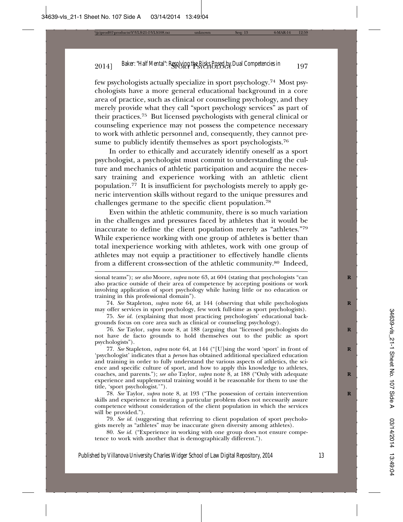few psychologists actually specialize in sport psychology.74 Most psychologists have a more general educational background in a core area of practice, such as clinical or counseling psychology, and they merely provide what they call "sport psychology services" as part of their practices.75 But licensed psychologists with general clinical or counseling experience may not possess the competence necessary to work with athletic personnel and, consequently, they cannot presume to publicly identify themselves as sport psychologists.<sup>76</sup>

In order to ethically and accurately identify oneself as a sport psychologist, a psychologist must commit to understanding the culture and mechanics of athletic participation and acquire the necessary training and experience working with an athletic client population.77 It is insufficient for psychologists merely to apply generic intervention skills without regard to the unique pressures and challenges germane to the specific client population.78

Even within the athletic community, there is so much variation in the challenges and pressures faced by athletes that it would be inaccurate to define the client population merely as "athletes."79 While experience working with one group of athletes is better than total inexperience working with athletes, work with one group of athletes may not equip a practitioner to effectively handle clients from a different cross-section of the athletic community.80 Indeed,

74. *See* Stapleton, *supra* note 64, at 144 (observing that while psychologists **R** may offer services in sport psychology, few work full-time as sport psychologists).

75. *See id.* (explaining that most practicing psychologists' educational backgrounds focus on core area such as clinical or counseling psychology).

76. *See* Taylor, *supra* note 8, at 188 (arguing that "licensed psychologists do **R** not have de facto grounds to hold themselves out to the public as sport psychologists").

77. *See* Stapleton, *supra* note 64, at 144 ("[U]sing the word 'sport' in front of **R** 'psychologist' indicates that a *person* has obtained additional specialized education and training in order to fully understand the various aspects of athletics, the science and specific culture of sport, and how to apply this knowledge to athletes, coaches, and parents."); *see also* Taylor, *supra* note 8, at 188 ("Only with adequate experience and supplemental training would it be reasonable for them to use the title, 'sport psychologist.'").

78. *See* Taylor, *supra* note 8, at 193 ("The possession of certain intervention **R** skills and experience in treating a particular problem does not necessarily assure competence without consideration of the client population in which the services will be provided.").

79. *See id.* (suggesting that referring to client population of sport psychologists merely as "athletes" may be inaccurate given diversity among athletes).

80. *See id.* ("Experience in working with one group does not ensure competence to work with another that is demographically different.").

sional teams"); *see also* Moore, *supra* note 63, at 604 (stating that psychologists "can also practice outside of their area of competence by accepting positions or work involving application of sport psychology while having little or no education or training in this professional domain").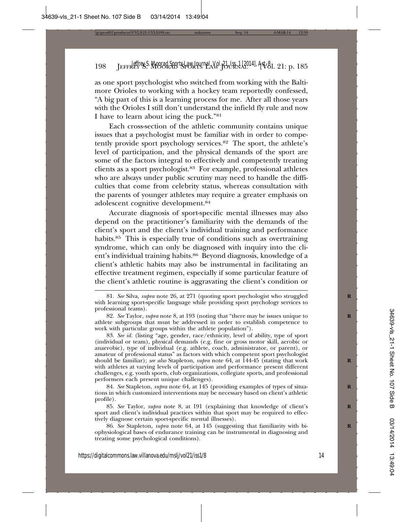as one sport psychologist who switched from working with the Baltimore Orioles to working with a hockey team reportedly confessed, "A big part of this is a learning process for me. After all those years with the Orioles I still don't understand the infield fly rule and now I have to learn about icing the puck."81

Each cross-section of the athletic community contains unique issues that a psychologist must be familiar with in order to competently provide sport psychology services.82 The sport, the athlete's level of participation, and the physical demands of the sport are some of the factors integral to effectively and competently treating clients as a sport psychologist.83 For example, professional athletes who are always under public scrutiny may need to handle the difficulties that come from celebrity status, whereas consultation with the parents of younger athletes may require a greater emphasis on adolescent cognitive development.84

Accurate diagnosis of sport-specific mental illnesses may also depend on the practitioner's familiarity with the demands of the client's sport and the client's individual training and performance habits.<sup>85</sup> This is especially true of conditions such as overtraining syndrome, which can only be diagnosed with inquiry into the client's individual training habits.86 Beyond diagnosis, knowledge of a client's athletic habits may also be instrumental in facilitating an effective treatment regimen, especially if some particular feature of the client's athletic routine is aggravating the client's condition or

84. See Stapleton, *supra* note 64, at 145 (providing examples of types of situations in which customized interventions may be necessary based on client's athletic profile).

85. *See* Taylor, *supra* note 8, at 191 (explaining that knowledge of client's **R** sport and client's individual practices within that sport may be required to effectively diagnose certain sport-specific mental illnesses).

86. See Stapleton, *supra* note 64, at 145 (suggesting that familiarity with biophysiological bases of endurance training can be instrumental in diagnosing and treating some psychological conditions).

<sup>81.</sup> *See* Silva, *supra* note 26, at 271 (quoting sport psychologist who struggled **R** with learning sport-specific language while providing sport psychology services to professional teams).

<sup>82.</sup> *See* Taylor, *supra* note 8, at 193 (noting that "there may be issues unique to **R** athlete subgroups that must be addressed in order to establish competence to work with particular groups within the athlete population").

<sup>83.</sup> *See id.* (listing "age, gender, race/ethnicity, level of ability, type of sport (individual or team), physical demands (e.g. fine or gross motor skill, aerobic or anaerobic), type of individual (e.g. athlete, coach, administrator, or parent), or amateur of professional status" as factors with which competent sport psychologist should be familiar); *see also* Stapleton, *supra* note 64, at 144-45 (stating that work with athletes at varying levels of participation and performance present different challenges, e.g. youth sports, club organizations, collegiate sports, and professional performers each present unique challenges).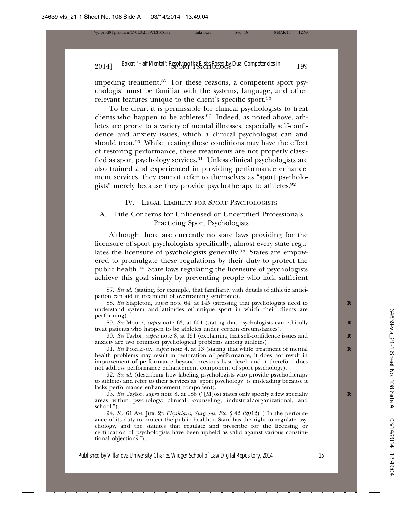impeding treatment.87 For these reasons, a competent sport psychologist must be familiar with the systems, language, and other relevant features unique to the client's specific sport.<sup>88</sup>

To be clear, it is permissible for clinical psychologists to treat clients who happen to be athletes.89 Indeed, as noted above, athletes are prone to a variety of mental illnesses, especially self-confidence and anxiety issues, which a clinical psychologist can and should treat.90 While treating these conditions may have the effect of restoring performance, these treatments are not properly classified as sport psychology services.91 Unless clinical psychologists are also trained and experienced in providing performance enhancement services, they cannot refer to themselves as "sport psychologists" merely because they provide psychotherapy to athletes.92

#### IV. LEGAL LIABILITY FOR SPORT PSYCHOLOGISTS

# A. Title Concerns for Unlicensed or Uncertified Professionals Practicing Sport Psychologists

Although there are currently no state laws providing for the licensure of sport psychologists specifically, almost every state regulates the licensure of psychologists generally.93 States are empowered to promulgate these regulations by their duty to protect the public health.94 State laws regulating the licensure of psychologists achieve this goal simply by preventing people who lack sufficient

<sup>87.</sup> *See id.* (stating, for example, that familiarity with details of athletic anticipation can aid in treatment of overtraining syndrome).

<sup>88.</sup> *See* Stapleton, *supra* note 64, at 145 (stressing that psychologists need to **R** understand system and attitudes of unique sport in which their clients are performing).

<sup>89.</sup> See Moore, *supra* note 63, at 604 (stating that psychologists can ethically treat patients who happen to be athletes under certain circumstances).

<sup>90.</sup> *See* Taylor, *supra* note 8, at 191 (explaining that self-confidence issues and **R** anxiety are two common psychological problems among athletes).

<sup>91.</sup> *See* PORTENGA, *supra* note 4, at 13 (stating that while treatment of mental **R** health problems may result in restoration of performance, it does not result in improvement of performance beyond previous base level, and it therefore does not address performance enhancement component of sport psychology).

<sup>92.</sup> *See id.* (describing how labeling psychologists who provide psychotherapy to athletes and refer to their services as "sport psychology" is misleading because it lacks performance enhancement component).

<sup>93.</sup> *See* Taylor, *supra* note 8, at 188 ("[M]ost states only specify a few specialty **R** areas within psychology: clinical, counseling, industrial/organizational, and school.").

<sup>94.</sup> *See* 61 AM. JUR. 2D *Physicians, Surgeons, Etc.* § 42 (2012) ("In the performance of its duty to protect the public health, a State has the right to regulate psychology, and the statutes that regulate and prescribe for the licensing or certification of psychologists have been upheld as valid against various constitutional objections.").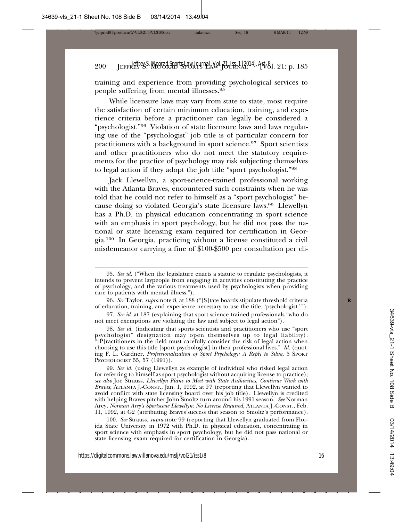training and experience from providing psychological services to people suffering from mental illnesses.95

While licensure laws may vary from state to state, most require the satisfaction of certain minimum education, training, and experience criteria before a practitioner can legally be considered a "psychologist."96 Violation of state licensure laws and laws regulating use of the "psychologist" job title is of particular concern for practitioners with a background in sport science.97 Sport scientists and other practitioners who do not meet the statutory requirements for the practice of psychology may risk subjecting themselves to legal action if they adopt the job title "sport psychologist."98

Jack Llewellyn, a sport-science-trained professional working with the Atlanta Braves, encountered such constraints when he was told that he could not refer to himself as a "sport psychologist" because doing so violated Georgia's state licensure laws.99 Llewellyn has a Ph.D. in physical education concentrating in sport science with an emphasis in sport psychology, but he did not pass the national or state licensing exam required for certification in Georgia.100 In Georgia, practicing without a license constituted a civil misdemeanor carrying a fine of \$100-\$500 per consultation per cli-

97. *See id*. at 187 (explaining that sport science trained professionals "who do not meet exemptions are violating the law and subject to legal action").

98. *See id.* (indicating that sports scientists and practitioners who use "sport psychologist" designation may open themselves up to legal liability). "[P]ractitioners in the field must carefully consider the risk of legal action when choosing to use this title [sport psychologist] in their professional lives." *Id.* (quoting F. L. Gardner, *Professionalization of Sport Psychology: A Reply to Silva*, 5 SPORT PSYCHOLOGIST 55, 57 (1991)).

99. *See id.* (using Llewellyn as example of individual who risked legal action for referring to himself as sport psychologist without acquiring license to practice); *see also* Joe Strauss, *Llewellyn Plans to Meet with State Authorities, Continue Work with Braves*, ATLANTA J.-CONST., Jan. 1, 1992, at F7 (reporting that Llewellyn wanted to avoid conflict with state licensing board over his job title). Llewellyn is credited with helping Braves pitcher John Smoltz turn around his 1991 season. *See* Norman Arey, *Norman Arey's Sportscene Llewellyn: No License Required*, ATLANTA J.-CONST., Feb. 11, 1992, at G2 (attributing Braves'success that season to Smoltz's performance).

100. *See* Strauss, *supra* note 99 (reporting that Llewellyn graduated from Florida State University in 1972 with Ph.D. in physical education, concentrating in sport science with emphasis in sport psychology, but he did not pass national or state licensing exam required for certification in Georgia).

<sup>95.</sup> *See id.* ("When the legislature enacts a statute to regulate psychologists, it intends to prevent laypeople from engaging in activities constituting the practice of psychology, and the various treatments used by psychologists when providing care to patients with mental illness.").

<sup>96.</sup> See Taylor, *supra* note 8, at 188 ("[S] tate boards stipulate threshold criteria of education, training, and experience necessary to use the title, 'psychologist.'").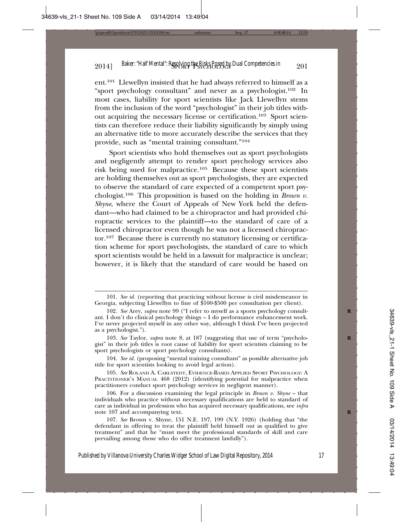ent.101 Llewellyn insisted that he had always referred to himself as a "sport psychology consultant" and never as a psychologist.102 In most cases, liability for sport scientists like Jack Llewellyn stems from the inclusion of the word "psychologist" in their job titles without acquiring the necessary license or certification.<sup>103</sup> Sport scientists can therefore reduce their liability significantly by simply using an alternative title to more accurately describe the services that they provide, such as "mental training consultant."104

Sport scientists who hold themselves out as sport psychologists and negligently attempt to render sport psychology services also risk being sued for malpractice.105 Because these sport scientists are holding themselves out as sport psychologists, they are expected to observe the standard of care expected of a competent sport psychologist.106 This proposition is based on the holding in *Brown v. Shyne*, where the Court of Appeals of New York held the defendant—who had claimed to be a chiropractor and had provided chiropractic services to the plaintiff—to the standard of care of a licensed chiropractor even though he was not a licensed chiropractor.107 Because there is currently no statutory licensing or certification scheme for sport psychologists, the standard of care to which sport scientists would be held in a lawsuit for malpractice is unclear; however, it is likely that the standard of care would be based on

<sup>101.</sup> *See id.* (reporting that practicing without license is civil misdemeanor in Georgia, subjecting Llewellyn to fine of \$100-\$500 per consultation per client).

<sup>102.</sup> See Arey, *supra* note 99 ("I refer to myself as a sports psychology consultant. I don't do clinical psychology things – I do performance enhancement work. I've never projected myself in any other way, although I think I've been projected as a psychologist.").

<sup>103.</sup> See Taylor, *supra* note 8, at 187 (suggesting that use of term "psychologist" in their job titles is root cause of liability for sport scientists claiming to be sport psychologists or sport psychology consultants).

<sup>104.</sup> *See id.* (proposing "mental training consultant" as possible alternative job title for sport scientists looking to avoid legal action).

<sup>105.</sup> *See* ROLAND A. CARLSTEDT, EVIDENCE-BASED APPLIED SPORT PSYCHOLOGY: A PRACTITIONER'S MANUAL 468 (2012) (identifying potential for malpractice when practitioners conduct sport psychology services in negligent manner).

<sup>106.</sup> For a discussion examining the legal principle in *Brown v. Shyne* – that individuals who practice without necessary qualifications are held to standard of care as individual in profession who has acquired necessary qualifications, see *infra* note 107 and accompanying text. **R**

<sup>107.</sup> *See* Brown v. Shyne, 151 N.E. 197, 199 (N.Y. 1926) (holding that "the defendant in offering to treat the plaintiff held himself out as qualified to give treatment" and that he "must meet the professional standards of skill and care prevailing among those who do offer treatment lawfully").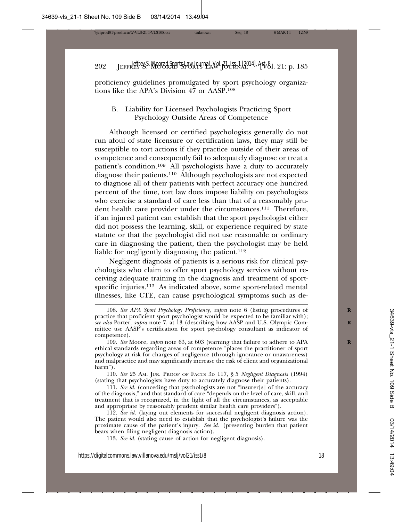proficiency guidelines promulgated by sport psychology organizations like the APA's Division 47 or AASP.108

B. Liability for Licensed Psychologists Practicing Sport Psychology Outside Areas of Competence

Although licensed or certified psychologists generally do not run afoul of state licensure or certification laws, they may still be susceptible to tort actions if they practice outside of their areas of competence and consequently fail to adequately diagnose or treat a patient's condition.109 All psychologists have a duty to accurately diagnose their patients.110 Although psychologists are not expected to diagnose all of their patients with perfect accuracy one hundred percent of the time, tort law does impose liability on psychologists who exercise a standard of care less than that of a reasonably prudent health care provider under the circumstances.111 Therefore, if an injured patient can establish that the sport psychologist either did not possess the learning, skill, or experience required by state statute or that the psychologist did not use reasonable or ordinary care in diagnosing the patient, then the psychologist may be held liable for negligently diagnosing the patient.<sup>112</sup>

Negligent diagnosis of patients is a serious risk for clinical psychologists who claim to offer sport psychology services without receiving adequate training in the diagnosis and treatment of sportspecific injuries.<sup>113</sup> As indicated above, some sport-related mental illnesses, like CTE, can cause psychological symptoms such as de-

110. *See* 25 AM. JUR. PROOF OF FACTS 3D 117, § 5 *Negligent Diagnosis* (1994) (stating that psychologists have duty to accurately diagnose their patients).

111. *See id.* (conceding that psychologists are not "insurer[s] of the accuracy of the diagnosis," and that standard of care "depends on the level of care, skill, and treatment that is recognized, in the light of all the circumstances, as acceptable and appropriate by reasonably prudent similar health care providers").

112. *See id.* (laying out elements for successful negligent diagnosis action). The patient would also need to establish that the psychologist's failure was the proximate cause of the patient's injury. *See id*. (presenting burden that patient bears when filing negligent diagnosis action).

113. *See id.* (stating cause of action for negligent diagnosis).

<sup>108.</sup> See APA Sport Psychology Proficiency, supra note 6 (listing procedures of practice that proficient sport psychologist would be expected to be familiar with); *see also* Porter, *supra* note 7, at 13 (describing how AASP and U.S. Olympic Com- **R** mittee use AASP's certification for sport psychology consultant as indicator of competence).

<sup>109.</sup> See Moore, *supra* note 63, at 603 (warning that failure to adhere to APA ethical standards regarding areas of competence "places the practitioner of sport psychology at risk for charges of negligence (through ignorance or unawareness) and malpractice and may significantly increase the risk of client and organizational harm").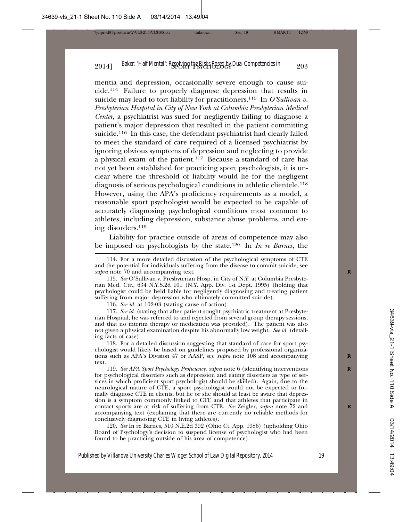mentia and depression, occasionally severe enough to cause suicide.114 Failure to properly diagnose depression that results in suicide may lead to tort liability for practitioners.115 In *O'Sullivan v. Presbyterian Hospital in City of New York at Columbia Presbyterian Medical Center*, a psychiatrist was sued for negligently failing to diagnose a patient's major depression that resulted in the patient committing suicide.116 In this case, the defendant psychiatrist had clearly failed to meet the standard of care required of a licensed psychiatrist by ignoring obvious symptoms of depression and neglecting to provide a physical exam of the patient.117 Because a standard of care has not yet been established for practicing sport psychologists, it is unclear where the threshold of liability would lie for the negligent diagnosis of serious psychological conditions in athletic clientele.118 However, using the APA's proficiency requirements as a model, a reasonable sport psychologist would be expected to be capable of accurately diagnosing psychological conditions most common to athletes, including depression, substance abuse problems, and eating disorders.119

Liability for practice outside of areas of competence may also be imposed on psychologists by the state.120 In *In re Barnes*, the

115. *See* O'Sullivan v. Presbyterian Hosp. in City of N.Y. at Columbia Presbyterian Med. Ctr., 634 N.Y.S.2d 101 (N.Y. App. Div. 1st Dept. 1995) (holding that psychologist could be held liable for negligently diagnosing and treating patient suffering from major depression who ultimately committed suicide).

116. *See id.* at 102-03 (stating cause of action).

117. *See id.* (stating that after patient sought psychiatric treatment at Presbyterian Hospital, he was referred to and rejected from several group therapy sessions, and that no interim therapy or medication was provided). The patient was also not given a physical examination despite his abnormally low weight. *See id.* (detailing facts of case).

118. For a detailed discussion suggesting that standard of care for sport psychologist would likely be based on guidelines proposed by professional organizations such as APA's Division 47 or AASP, see *supra* note 108 and accompanying text.

119. *See APA Sport Psychology Proficiency*, *supra* note 6 (identifying interventions **R** for psychological disorders such as depression and eating disorders as type of services in which proficient sport psychologist should be skilled). Again, due to the neurological nature of CTE, a sport psychologist would not be expected to formally diagnose CTE in clients, but he or she should at least be aware that depression is a symptom commonly linked to CTE and that athletes that participate in contact sports are at risk of suffering from CTE. See Zeigler, supra note 72 and accompanying text (explaining that there are currently no reliable methods for conclusively diagnosing CTE in living athletes).

120. *See* In re Barnes, 510 N.E.2d 392 (Ohio Ct. App. 1986) (upholding Ohio Board of Psychology's decision to suspend license of psychologist who had been found to be practicing outside of his area of competence).

<sup>114.</sup> For a more detailed discussion of the psychological symptoms of CTE and the potential for individuals suffering from the disease to commit suicide, see *supra* note 70 and accompanying text. **R**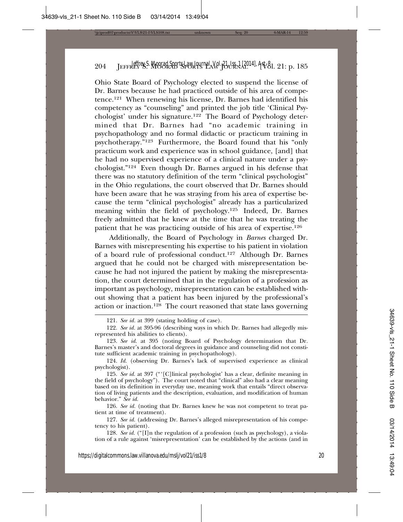Ohio State Board of Psychology elected to suspend the license of Dr. Barnes because he had practiced outside of his area of competence.121 When renewing his license, Dr. Barnes had identified his competency as "counseling" and printed the job title 'Clinical Psychologist' under his signature.122 The Board of Psychology determined that Dr. Barnes had "no academic training in psychopathology and no formal didactic or practicum training in psychotherapy."123 Furthermore, the Board found that his "only practicum work and experience was in school guidance, [and] that he had no supervised experience of a clinical nature under a psychologist."124 Even though Dr. Barnes argued in his defense that there was no statutory definition of the term "clinical psychologist" in the Ohio regulations, the court observed that Dr. Barnes should have been aware that he was straying from his area of expertise because the term "clinical psychologist" already has a particularized meaning within the field of psychology.125 Indeed, Dr. Barnes freely admitted that he knew at the time that he was treating the patient that he was practicing outside of his area of expertise.126

Additionally, the Board of Psychology in *Barnes* charged Dr. Barnes with misrepresenting his expertise to his patient in violation of a board rule of professional conduct.127 Although Dr. Barnes argued that he could not be charged with misrepresentation because he had not injured the patient by making the misrepresentation, the court determined that in the regulation of a profession as important as psychology, misrepresentation can be established without showing that a patient has been injured by the professional's action or inaction.128 The court reasoned that state laws governing

126. *See id.* (noting that Dr. Barnes knew he was not competent to treat patient at time of treatment).

127. *See id.* (addressing Dr. Barnes's alleged misrepresentation of his competency to his patient).

128. *See id.* ("[I]n the regulation of a profession (such as psychology), a violation of a rule against 'misrepresentation' can be established by the actions (and in

<sup>121.</sup> *See id.* at 399 (stating holding of case).

<sup>122.</sup> *See id.* at 395-96 (describing ways in which Dr. Barnes had allegedly misrepresented his abilities to clients).

<sup>123.</sup> *See id.* at 395 (noting Board of Psychology determination that Dr. Barnes's master's and doctoral degrees in guidance and counseling did not constitute sufficient academic training in psychopathology).

<sup>124.</sup> *Id.* (observing Dr. Barnes's lack of supervised experience as clinical psychologist).

<sup>125.</sup> *See id.* at 397 ("'[C]linical psychologist' has a clear, definite meaning in the field of psychology"). The court noted that "clinical" also had a clear meaning based on its definition in everyday use, meaning work that entails "direct observation of living patients and the description, evaluation, and modification of human behavior." *See id.*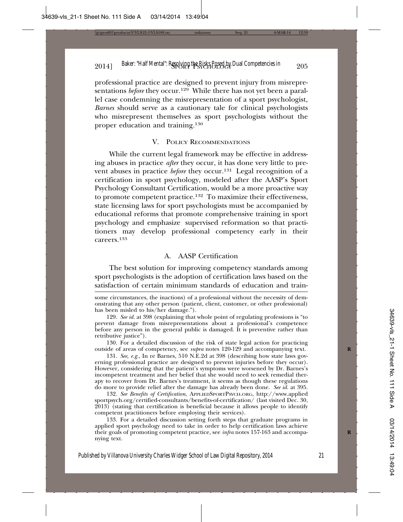professional practice are designed to prevent injury from misrepresentations *before* they occur.<sup>129</sup> While there has not yet been a parallel case condemning the misrepresentation of a sport psychologist*, Barnes* should serve as a cautionary tale for clinical psychologists who misrepresent themselves as sport psychologists without the proper education and training.130

#### V. POLICY RECOMMENDATIONS

While the current legal framework may be effective in addressing abuses in practice *after* they occur, it has done very little to prevent abuses in practice *before* they occur.<sup>131</sup> Legal recognition of a certification in sport psychology, modeled after the AASP's Sport Psychology Consultant Certification, would be a more proactive way to promote competent practice.132 To maximize their effectiveness, state licensing laws for sport psychologists must be accompanied by educational reforms that promote comprehensive training in sport psychology and emphasize supervised reformation so that practitioners may develop professional competency early in their careers.133

#### A. AASP Certification

The best solution for improving competency standards among sport psychologists is the adoption of certification laws based on the satisfaction of certain minimum standards of education and train-

130. For a detailed discussion of the risk of state legal action for practicing outside of areas of competency, see *supra* notes 120-129 and accompanying text. **R**

131. *See, e.g.*, In re Barnes*,* 510 N.E.2d at 398 (describing how state laws governing professional practice are designed to prevent injuries before they occur). However, considering that the patient's symptoms were worsened by Dr. Barnes's incompetent treatment and her belief that she would need to seek remedial therapy to recover from Dr. Barnes's treatment, it seems as though these regulations do more to provide relief after the damage has already been done. *See id.* at 395.

132. *See Benefits of Certification,* APPLIEDSPORTPSYCH.ORG, http://www.applied sportpsych.org/certified-consultants/benefits-of-certification/ (last visited Dec. 30, 2013) (stating that certification is beneficial because it allows people to identify competent practitioners before employing their services).

133. For a detailed discussion setting forth steps that graduate programs in applied sport psychology need to take in order to help certification laws achieve their goals of promoting competent practice, see *infra* notes 157-163 and accompanying text.

some circumstances, the inactions) of a professional without the necessity of demonstrating that any other person (patient, client, customer, or other professional) has been misled to his/her damage.").

<sup>129.</sup> *See id.* at 398 (explaining that whole point of regulating professions is "to prevent damage from misrepresentations about a professional's competence before any person in the general public is damaged. It is preventive rather than retributive justice").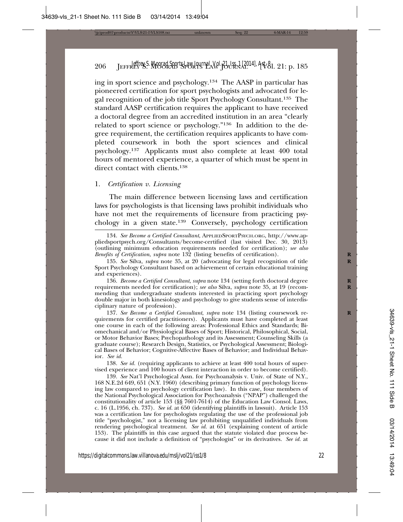ing in sport science and psychology.134 The AASP in particular has pioneered certification for sport psychologists and advocated for legal recognition of the job title Sport Psychology Consultant.135 The standard AASP certification requires the applicant to have received a doctoral degree from an accredited institution in an area "clearly related to sport science or psychology."136 In addition to the degree requirement, the certification requires applicants to have completed coursework in both the sport sciences and clinical psychology.137 Applicants must also complete at least 400 total hours of mentored experience, a quarter of which must be spent in direct contact with clients.<sup>138</sup>

#### 1. *Certification v. Licensing*

The main difference between licensing laws and certification laws for psychologists is that licensing laws prohibit individuals who have not met the requirements of licensure from practicing psychology in a given state.139 Conversely, psychology certification

136. *Become a Certified Consultant*, *supra* note 134 (setting forth doctoral degree **R** requirements needed for certification); *see also* Silva, *supra* note 35, at 19 (recommending that undergraduate students interested in practicing sport psychology double major in both kinesiology and psychology to give students sense of interdisciplinary nature of profession).

137. See Become a Certified Consultant, supra note 134 (listing coursework requirements for certified practitioners). Applicants must have completed at least one course in each of the following areas: Professional Ethics and Standards; Biomechanical and/or Physiological Bases of Sport; Historical, Philosophical, Social, or Motor Behavior Bases; Psychopathology and its Assessment; Counseling Skills (a graduate course); Research Design, Statistics, or Psychological Assessment; Biological Bases of Behavior; Cognitive-Affective Bases of Behavior; and Individual Behavior. *See id.*

138. *See id.* (requiring applicants to achieve at least 400 total hours of supervised experience and 100 hours of client interaction in order to become certified).

139. *See* Nat'l Psychological Assn. for Psychoanalysis v. Univ. of State of N.Y., 168 N.E.2d 649, 651 (N.Y. 1960) (describing primary function of psychology licensing law compared to psychology certification law). In this case, four members of the National Psychological Association for Psychoanalysis ("NPAP") challenged the constitutionality of article 153 (§§ 7601-7614) of the Education Law Consol. Laws, c. 16 (L.1956, ch. 737). *See id.* at 650 (identifying plaintiffs in lawsuit). Article 153 was a certification law for psychologists regulating the use of the professional job title "psychologist," not a licensing law prohibiting unqualified individuals from rendering psychological treatment. *See id.* at 651 (explaining content of article 153). The plaintiffs in this case argued that the statute violated due process because it did not include a definition of "psychologist" or its derivatives. *See id.* at

<sup>134.</sup> *See Become a Certified Consultant*, APPLIEDSPORTPSYCH.ORG, http://www.appliedsportpsych.org/Consultants/become-certified (last visited Dec. 30, 2013) (outlining minimum education requirements needed for certification); *see also Benefits of Certification, supra* note 132 (listing benefits of certification).

<sup>135.</sup> See Silva, *supra* note 35, at 20 (advocating for legal recognition of title Sport Psychology Consultant based on achievement of certain educational training and experiences).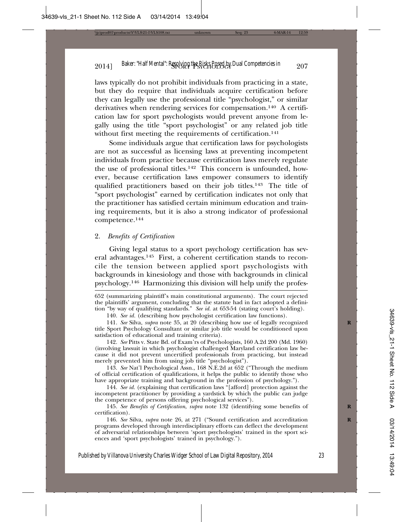laws typically do not prohibit individuals from practicing in a state, but they do require that individuals acquire certification before they can legally use the professional title "psychologist," or similar derivatives when rendering services for compensation.140 A certification law for sport psychologists would prevent anyone from legally using the title "sport psychologist" or any related job title without first meeting the requirements of certification.<sup>141</sup>

Some individuals argue that certification laws for psychologists are not as successful as licensing laws at preventing incompetent individuals from practice because certification laws merely regulate the use of professional titles.142 This concern is unfounded, however, because certification laws empower consumers to identify qualified practitioners based on their job titles.143 The title of "sport psychologist" earned by certification indicates not only that the practitioner has satisfied certain minimum education and training requirements, but it is also a strong indicator of professional competence.144

# 2. *Benefits of Certification*

Giving legal status to a sport psychology certification has several advantages.145 First, a coherent certification stands to reconcile the tension between applied sport psychologists with backgrounds in kinesiology and those with backgrounds in clinical psychology.146 Harmonizing this division will help unify the profes-

652 (summarizing plaintiff's main constitutional arguments). The court rejected the plaintiffs' argument, concluding that the statute had in fact adopted a definition "by way of qualifying standards." *See id.* at 653-54 (stating court's holding).

140. *See id.* (describing how psychologist certification law functions).

141. *See* Silva, *supra* note 35, at 20 (describing how use of legally recognized **R** title Sport Psychology Consultant or similar job title would be conditioned upon satisfaction of educational and training criteria).

142. *See* Pitts v. State Bd. of Exam'rs of Psychologists, 160 A.2d 200 (Md. 1960) (involving lawsuit in which psychologist challenged Maryland certification law because it did not prevent uncertified professionals from practicing, but instead merely prevented him from using job title "psychologist").

143. *See* Nat'l Psychological Assn., 168 N.E.2d at 652 ("Through the medium of official certification of qualifications, it helps the public to identify those who have appropriate training and background in the profession of psychology.").

144. *See id.* (explaining that certification laws "[afford] protection against the incompetent practitioner by providing a yardstick by which the public can judge the competence of persons offering psychological services").

145. *See Benefits of Certification*, *supra* note 132 (identifying some benefits of **R** certification).

146. *See* Silva, *supra* note 26, at 271 ("Sound certification and accreditation **R** programs developed through interdisciplinary efforts can deflect the development of adversarial relationships between 'sport psychologists' trained in the sport sciences and 'sport psychologists' trained in psychology.").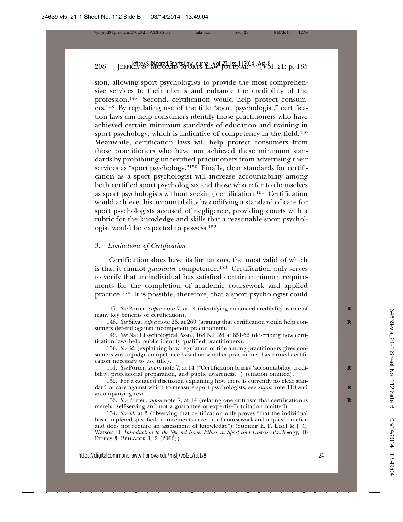sion, allowing sport psychologists to provide the most comprehensive services to their clients and enhance the credibility of the profession.147 Second, certification would help protect consumers.148 By regulating use of the title "sport psychologist," certification laws can help consumers identify those practitioners who have achieved certain minimum standards of education and training in sport psychology, which is indicative of competency in the field.<sup>149</sup> Meanwhile, certification laws will help protect consumers from those practitioners who have not achieved these minimum standards by prohibiting uncertified practitioners from advertising their services as "sport psychology."<sup>150</sup> Finally, clear standards for certification as a sport psychologist will increase accountability among both certified sport psychologists and those who refer to themselves as sport psychologists without seeking certification.<sup>151</sup> Certification would achieve this accountability by codifying a standard of care for sport psychologists accused of negligence, providing courts with a rubric for the knowledge and skills that a reasonable sport psychologist would be expected to possess.152

#### 3. *Limitations of Certification*

Certification does have its limitations, the most valid of which is that it cannot *guarantee* competence.153 Certification only serves to verify that an individual has satisfied certain minimum requirements for the completion of academic coursework and applied practice.154 It is possible, therefore, that a sport psychologist could

151. *See* Porter, *supra* note 7, at 14 ("Certification brings 'accountability, credi- **R** bility, professional preparation, and public awareness.'") (citation omitted).

152. For a detailed discussion explaining how there is currently no clear standard of care against which to measure sport psychologists, see *supra* note 118 and accompanying text.

153. *See* Porter, *supra* note 7, at 14 (relating one criticism that certification is **R** merely "self-serving and not a guarantee of expertise") (citation omitted).

154. *See id.* at 3 (observing that certification only proves "that the individual has completed specified requirements in terms of coursework and applied practice and does not require an assessment of knowledge") (quoting E.  $\hat{F}$ . Etzel & J. C. Watson II, *Introduction to the Special Issue: Ethics in Sport and Exercise Psychol*ogy, 16 ETHICS & BEHAVIOR 1, 2  $(2006)$ ).

<sup>147.</sup> *See* Porter, *supra* note 7, at 14 (identifying enhanced credibility as one of **R** many key benefits of certification).

<sup>148.</sup> See Silva, *supra* note 26, at 269 (arguing that certification would help consumers defend against incompetent practitioners).

<sup>149.</sup> *See* Nat'l Psychological Assn., 168 N.E.2d at 651-52 (describing how certification laws help public identify qualified practitioners).

<sup>150.</sup> *See id.* (explaining how regulation of title among practitioners gives consumers way to judge competence based on whether practitioner has earned certification necessary to use title).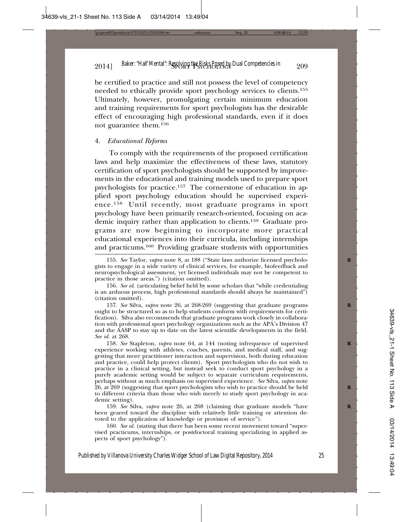be certified to practice and still not possess the level of competency needed to ethically provide sport psychology services to clients.155 Ultimately, however, promulgating certain minimum education and training requirements for sport psychologists has the desirable effect of encouraging high professional standards, even if it does not guarantee them.156

#### 4. *Educational Reforms*

To comply with the requirements of the proposed certification laws and help maximize the effectiveness of these laws, statutory certification of sport psychologists should be supported by improvements in the educational and training models used to prepare sport psychologists for practice.157 The cornerstone of education in applied sport psychology education should be supervised experience.158 Until recently, most graduate programs in sport psychology have been primarily research-oriented, focusing on academic inquiry rather than application to clients.159 Graduate programs are now beginning to incorporate more practical educational experiences into their curricula, including internships and practicums.160 Providing graduate students with opportunities

159. *See* Silva, *supra* note 26, at 268 (claiming that graduate models "have **R** been geared toward the discipline with relatively little training or attention devoted to the application of knowledge or provision of service").

160. *See id.* (stating that there has been some recent movement toward "supervised practicums, internships, or postdoctoral training specializing in applied aspects of sport psychology").

<sup>155.</sup> See Taylor, *supra* note 8, at 188 ("State laws authorize licensed psychologists to engage in a wide variety of clinical services, for example, biofeedback and neuropsychological assessment, yet licensed individuals may not be competent to practice in those areas.") (citation omitted).

<sup>156.</sup> *See id.* (articulating belief held by some scholars that "while credentialing is an arduous process, high professional standards should always be maintained") (citation omitted).

<sup>157.</sup> *See* Silva, *supra* note 26, at 268-269 (suggesting that graduate programs **R** ought to be structured so as to help students conform with requirements for certification). Silva also recommends that graduate programs work closely in collaboration with professional sport psychology organizations such as the APA's Division 47 and the AASP to stay up to date on the latest scientific developments in the field. *See id.* at 268.

<sup>158.</sup> See Stapleton, *supra* note 64, at 144 (noting infrequence of supervised experience working with athletes, coaches, parents, and medical staff, and suggesting that more practitioner interaction and supervision, both during education and practice, could help protect clients). Sport psychologists who do not wish to practice in a clinical setting, but instead seek to conduct sport psychology in a purely academic setting would be subject to separate curriculum requirements, perhaps without as much emphasis on supervised experience. *See* Silva, *supra* note 26, at 269 (suggesting that sport psychologists who wish to practice should be held **R** to different criteria than those who wish merely to study sport psychology in academic setting).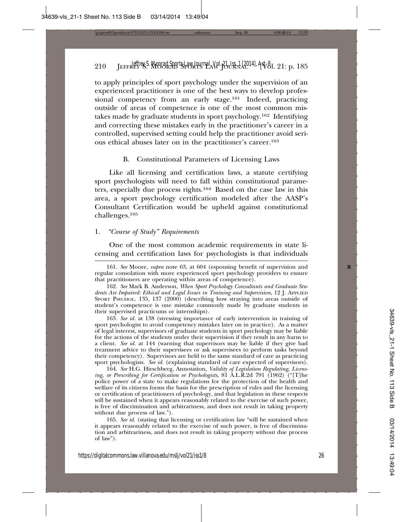to apply principles of sport psychology under the supervision of an experienced practitioner is one of the best ways to develop professional competency from an early stage.161 Indeed, practicing outside of areas of competence is one of the most common mistakes made by graduate students in sport psychology.162 Identifying and correcting these mistakes early in the practitioner's career in a controlled, supervised setting could help the practitioner avoid serious ethical abuses later on in the practitioner's career.163

#### B. Constitutional Parameters of Licensing Laws

Like all licensing and certification laws, a statute certifying sport psychologists will need to fall within constitutional parameters, especially due process rights.164 Based on the case law in this area, a sport psychology certification modeled after the AASP's Consultant Certification would be upheld against constitutional challenges.165

# 1. *"Course of Study" Requirements*

One of the most common academic requirements in state licensing and certification laws for psychologists is that individuals

162. *See* Mark B. Anderson, *When Sport Psychology Consultants and Graduate Students Are Impaired: Ethical and Legal Issues in Training and Supervision*, 12 J. APPLIED SPORT PSYCHOL. 135, 137 (2000) (describing how straying into areas outside of student's competence is one mistake commonly made by graduate students in their supervised practicums or internships).

163. *See id.* at 138 (stressing importance of early intervention in training of sport psychologist to avoid competency mistakes later on in practice). As a matter of legal interest, supervisors of graduate students in sport psychology may be liable for the actions of the students under their supervision if they result in any harm to a client. *See id.* at 144 (warning that supervisors may be liable if they give bad treatment advice to their supervisees or ask supervisees to perform tasks beyond their competency). Supervisors are held to the same standard of care as practicing sport psychologists. *See id.* (explaining standard of care expected of supervisors).

164. *See* H.G. Hirschberg, Annotation, *Validity of Legislation Regulating, Licensing, or Prescribing for Certification or Psychologists*, 81 A.L.R.2d 791 (1962) ("[T]he police power of a state to make regulations for the protection of the health and welfare of its citizens forms the basis for the prescription of rules and the licensing or certification of practitioners of psychology, and that legislation in these respects will be sustained when it appears reasonably related to the exercise of such power, is free of discrimination and arbitrariness, and does not result in taking property without due process of law.").

165. *See id.* (stating that licensing or certification law "will be sustained when it appears reasonably related to the exercise of such power, is free of discrimination and arbitrariness, and does not result in taking property without due process of law").

<sup>161.</sup> *See* Moore, *supra* note 63, at 604 (espousing benefit of supervision and **R** regular consolation with more experienced sport psychology providers to ensure that practitioners are operating within areas of competence).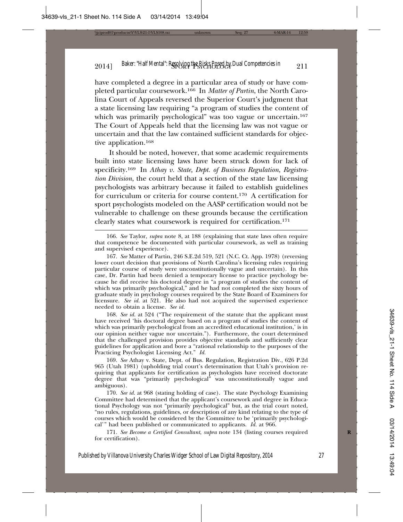have completed a degree in a particular area of study or have completed particular coursework.166 In *Matter of Partin*, the North Carolina Court of Appeals reversed the Superior Court's judgment that a state licensing law requiring "a program of studies the content of which was primarily psychological" was too vague or uncertain.<sup>167</sup> The Court of Appeals held that the licensing law was not vague or uncertain and that the law contained sufficient standards for objective application.168

It should be noted, however, that some academic requirements built into state licensing laws have been struck down for lack of specificity.169 In *Athay v. State, Dept. of Business Regulation*, *Registration Division*, the court held that a section of the state law licensing psychologists was arbitrary because it failed to establish guidelines for curriculum or criteria for course content.170 A certification for sport psychologists modeled on the AASP certification would not be vulnerable to challenge on these grounds because the certification clearly states what coursework is required for certification.171

166. *See* Taylor, *supra* note 8, at 188 (explaining that state laws often require that competence be documented with particular coursework, as well as training and supervised experience).

167. *See* Matter of Partin, 246 S.E.2d 519, 521 (N.C. Ct. App. 1978) (reversing lower court decision that provisions of North Carolina's licensing rules requiring particular course of study were unconstitutionally vague and uncertain). In this case, Dr. Partin had been denied a temporary license to practice psychology because he did receive his doctoral degree in "a program of studies the content of which was primarily psychological," and he had not completed the sixty hours of graduate study in psychology courses required by the State Board of Examiners for licensure. *See id.* at 521. He also had not acquired the supervised experience needed to obtain a license. *See id.*

168. *See id.* at 524 ("The requirement of the statute that the applicant must have received 'his doctoral degree based on a program of studies the content of which was primarily psychological from an accredited educational institution,' is in our opinion neither vague nor uncertain."). Furthermore, the court determined that the challenged provision provides objective standards and sufficiently clear guidelines for application and bore a "rational relationship to the purposes of the Practicing Psychologist Licensing Act." *Id.*

169. *See* Athay v. State, Dept. of Bus. Regulation, Registration Div., 626 P.2d 965 (Utah 1981) (upholding trial court's determination that Utah's provision requiring that applicants for certification as psychologists have received doctorate degree that was "primarily psychological" was unconstitutionally vague and ambiguous).

170. *See id.* at 968 (stating holding of case). The state Psychology Examining Committee had determined that the applicant's coursework and degree in Educational Psychology was not "primarily psychological" but, as the trial court noted, "no rules, regulations, guidelines, or description of any kind relating to the type of courses which would be considered by the Committee to be 'primarily psychological'" had been published or communicated to applicants. *Id.* at 966.

171. See Become a Certified Consultant, supra note 134 (listing courses required for certification).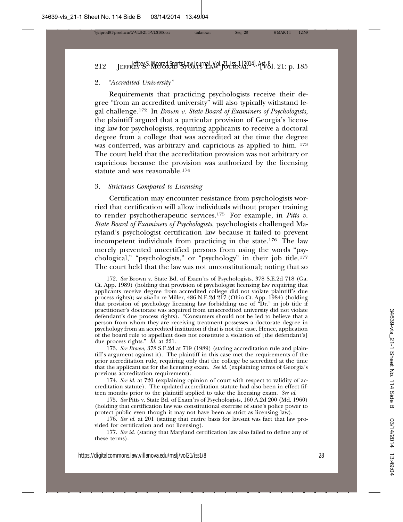# 212 JEFFREY S. MOORAD SPORTS LAW JOURNAL [Vol. 21: p. 185 *Jeffrey S. Moorad Sports Law Journal, Vol. 21, Iss. 1 [2014], Art. 8*

### 2. *"Accredited University"*

Requirements that practicing psychologists receive their degree "from an accredited university" will also typically withstand legal challenge.172 In *Brown v. State Board of Examiners of Psychologists*, the plaintiff argued that a particular provision of Georgia's licensing law for psychologists, requiring applicants to receive a doctoral degree from a college that was accredited at the time the degree was conferred, was arbitrary and capricious as applied to him. 173 The court held that the accreditation provision was not arbitrary or capricious because the provision was authorized by the licensing statute and was reasonable.174

#### 3. *Strictness Compared to Licensing*

Certification may encounter resistance from psychologists worried that certification will allow individuals without proper training to render psychotherapeutic services.175 For example, in *Pitts v. State Board of Examiners of Psychologists*, psychologists challenged Maryland's psychologist certification law because it failed to prevent incompetent individuals from practicing in the state.176 The law merely prevented uncertified persons from using the words "psychological," "psychologists," or "psychology" in their job title.177 The court held that the law was not unconstitutional; noting that so

174. *See id.* at 720 (explaining opinion of court with respect to validity of accreditation statute). The updated accreditation statute had also been in effect fifteen months prior to the plaintiff applied to take the licensing exam. *See id*.

176. *See id.* at 201 (stating that entire basis for lawsuit was fact that law provided for certification and not licensing).

177. *See id.* (stating that Maryland certification law also failed to define any of these terms).

<sup>172.</sup> *See* Brown v. State Bd. of Exam'rs of Psychologists, 378 S.E.2d 718 (Ga. Ct. App. 1989) (holding that provision of psychologist licensing law requiring that applicants receive degree from accredited college did not violate plaintiff's due process rights); *see also* In re Miller, 486 N.E.2d 217 (Ohio Ct. App. 1984) (holding that provision of psychology licensing law forbidding use of "Dr." in job title if practitioner's doctorate was acquired from unaccredited university did not violate defendant's due process rights). "Consumers should not be led to believe that a person from whom they are receiving treatment possesses a doctorate degree in psychology from an accredited institution if that is not the case. Hence, application of the board rule to appellant does not constitute a violation of [the defendant's] due process rights." *Id.* at 221.

<sup>173.</sup> *See Brown*, 378 S.E.2d at 719 (1989) (stating accreditation rule and plaintiff's argument against it). The plaintiff in this case met the requirements of the prior accreditation rule, requiring only that the college be accredited at the time that the applicant sat for the licensing exam. *See id.* (explaining terms of Georgia's previous accreditation requirement).

<sup>175.</sup> *See* Pitts v. State Bd. of Exam'rs of Psychologists, 160 A.2d 200 (Md. 1960) (holding that certification law was constitutional exercise of state's police power to protect public even though it may not have been as strict as licensing law).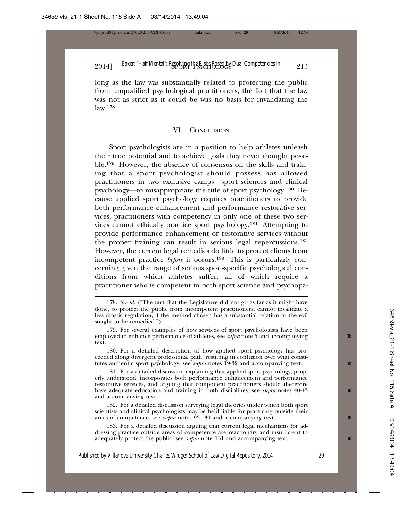long as the law was substantially related to protecting the public from unqualified psychological practitioners, the fact that the law was not as strict as it could be was no basis for invalidating the law.178

#### VI. CONCLUSION

Sport psychologists are in a position to help athletes unleash their true potential and to achieve goals they never thought possible.179 However, the absence of consensus on the skills and training that a sport psychologist should possess has allowed practitioners in two exclusive camps—sport sciences and clinical psychology—to misappropriate the title of sport psychology.180 Because applied sport psychology requires practitioners to provide both performance enhancement and performance restorative services, practitioners with competency in only one of these two services cannot ethically practice sport psychology.181 Attempting to provide performance enhancement or restorative services without the proper training can result in serious legal repercussions.182 However, the current legal remedies do little to protect clients from incompetent practice *before* it occurs.183 This is particularly concerning given the range of serious sport-specific psychological conditions from which athletes suffer, all of which require a practitioner who is competent in both sport science and psychopa-

181. For a detailed discussion explaining that applied sport psychology, properly understood, incorporates both performance enhancement and performance restorative services, and arguing that component practitioners should therefore have adequate education and training in both disciplines, see *supra* notes 40-43 **R** and accompanying text.

182. For a detailed discussion surveying legal theories under which both sport scientists and clinical psychologists may be held liable for practicing outside their areas of competence, see *supra* notes 93-130 and accompanying text.

183. For a detailed discussion arguing that current legal mechanisms for addressing practice outside areas of competence are reactionary and insufficient to adequately protect the public, see *supra* note 131 and accompanying text.

<sup>178.</sup> *See id.* ("The fact that the Legislature did not go as far as it might have done, to protect the public from incompetent practitioners, cannot invalidate a less drastic regulation, if the method chosen has a substantial relation to the evil sought to be remedied.").

<sup>179.</sup> For several examples of how services of sport psychologists have been employed to enhance performance of athletes, see *supra* note 5 and accompanying **R** text.

<sup>180.</sup> For a detailed description of how applied sport psychology has proceeded along divergent professional path, resulting in confusion over what constitutes authentic sport psychology, see *supra* notes 19-32 and accompanying text. **R**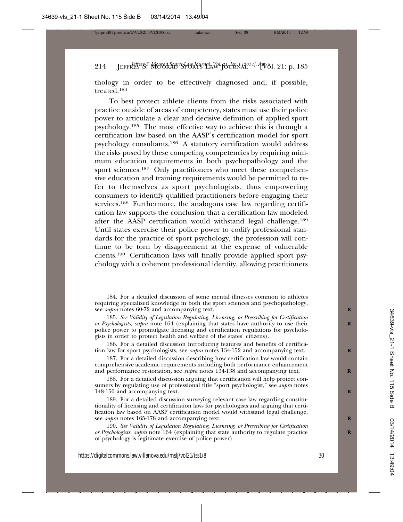thology in order to be effectively diagnosed and, if possible, treated.184

To best protect athlete clients from the risks associated with practice outside of areas of competency, states must use their police power to articulate a clear and decisive definition of applied sport psychology.185 The most effective way to achieve this is through a certification law based on the AASP's certification model for sport psychology consultants.186 A statutory certification would address the risks posed by these competing competencies by requiring minimum education requirements in both psychopathology and the sport sciences.<sup>187</sup> Only practitioners who meet these comprehensive education and training requirements would be permitted to refer to themselves as sport psychologists, thus empowering consumers to identify qualified practitioners before engaging their services.<sup>188</sup> Furthermore, the analogous case law regarding certification law supports the conclusion that a certification law modeled after the AASP certification would withstand legal challenge.189 Until states exercise their police power to codify professional standards for the practice of sport psychology, the profession will continue to be torn by disagreement at the expense of vulnerable clients.190 Certification laws will finally provide applied sport psychology with a coherent professional identity, allowing practitioners

<sup>184.</sup> For a detailed discussion of some mental illnesses common to athletes requiring specialized knowledge in both the sport sciences and psychopathology, see *supra* notes 60-72 and accompanying text.

<sup>185.</sup> *See Validity of Legislation Regulating, Licensing, or Prescribing for Certification or Psychologists, supra* note 164 (explaining that states have authority to use their police power to promulgate licensing and certification regulations for psychologists in order to protect health and welfare of the states' citizens).

<sup>186.</sup> For a detailed discussion introducing features and benefits of certification law for sport psychologists, see *supra* notes 134-152 and accompanying text. **R**

<sup>187.</sup> For a detailed discussion describing how certification law would contain comprehensive academic requirements including both performance enhancement and performance restoration, see *supra* notes 134-138 and accompanying text.

<sup>188.</sup> For a detailed discussion arguing that certification will help protect consumers by regulating use of professional title "sport psychologist," see *supra* notes 148-150 and accompanying text. **R**

<sup>189.</sup> For a detailed discussion surveying relevant case law regarding constitutionality of licensing and certification laws for psychologists and arguing that certification law based on AASP certification model would withstand legal challenge, see *supra* notes 165-178 and accompanying text.

<sup>190.</sup> *See Validity of Legislation Regulating, Licensing, or Prescribing for Certification or Psychologists, supra* note 164 (explaining that state authority to regulate practice of psychology is legitimate exercise of police power).